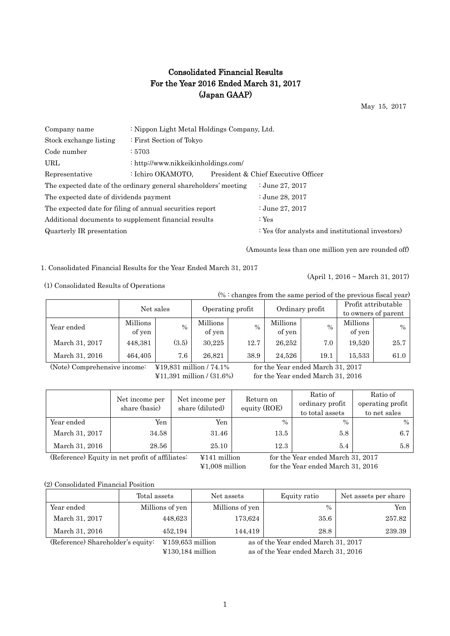## Consolidated Financial Results For the Year 2016 Ended March 31, 2017 (Japan GAAP)

May 15, 2017

| Company name                           | : Nippon Light Metal Holdings Company, Ltd.                     |  |                                                  |  |  |  |  |
|----------------------------------------|-----------------------------------------------------------------|--|--------------------------------------------------|--|--|--|--|
| Stock exchange listing                 | : First Section of Tokyo                                        |  |                                                  |  |  |  |  |
| Code number                            | :5703                                                           |  |                                                  |  |  |  |  |
| URL.                                   | : http://www.nikkeikinholdings.com/                             |  |                                                  |  |  |  |  |
| Representative                         | : Ichiro OKAMOTO,                                               |  | President & Chief Executive Officer              |  |  |  |  |
|                                        | The expected date of the ordinary general shareholders' meeting |  | : June 27, $2017$                                |  |  |  |  |
| The expected date of dividends payment |                                                                 |  | : June 28, 2017                                  |  |  |  |  |
|                                        | The expected date for filing of annual securities report        |  | : June 27, 2017                                  |  |  |  |  |
|                                        | Additional documents to supplement financial results            |  | : $Yes$                                          |  |  |  |  |
| Quarterly IR presentation              |                                                                 |  | : Yes (for analysts and institutional investors) |  |  |  |  |
|                                        |                                                                 |  |                                                  |  |  |  |  |

(Amounts less than one million yen are rounded off)

1. Consolidated Financial Results for the Year Ended March 31, 2017

(April 1, 2016 ~ March 31, 2017)

(1) Consolidated Results of Operations

(% : changes from the same period of the previous fiscal year)

|                | Net sales          |       |                    | Operating profit | Ordinary profit    |      | Profit attributable |      |
|----------------|--------------------|-------|--------------------|------------------|--------------------|------|---------------------|------|
|                |                    |       |                    |                  |                    |      | to owners of parent |      |
| Year ended     | Millions<br>of yen | $\%$  | Millions<br>of yen | $\frac{0}{0}$    | Millions<br>of yen | $\%$ | Millions<br>of yen  | $\%$ |
| March 31, 2017 | 448,381            | (3.5) | 30.225             | 12.7             | 26,252             | 7.0  | 19,520              | 25.7 |
| March 31, 2016 | 464,405            | 7.6   | 26,821             | 38.9             | 24,526             | 19.1 | 15,533              | 61.0 |

(Note) Comprehensive income: ¥19,831 million / 74.1% for the Year ended March 31, 2017

¥11,391 million / (31.6%) for the Year ended March 31, 2016

|                | Net income per<br>share (basic) | Net income per<br>share (diluted) | Return on<br>equity (ROE) | Ratio of<br>ordinary profit<br>to total assets | Ratio of<br>operating profit<br>to net sales |
|----------------|---------------------------------|-----------------------------------|---------------------------|------------------------------------------------|----------------------------------------------|
| Year ended     | Yen                             | Yen                               | $\%$                      | $\frac{0}{0}$                                  | $\%$                                         |
| March 31, 2017 | 34.58                           | 31.46                             | 13.5                      | 5.8                                            | 6.7                                          |
| March 31, 2016 | 28.56                           | 25.10                             | 12.3                      | 5.4                                            | 5.8                                          |

(Reference) Equity in net profit of affiliates: ¥141 million for the Year ended March 31, 2017

¥1,008 million for the Year ended March 31, 2016

(2) Consolidated Financial Position

|                                                                                                                   | Total assets    | Net assets      | Equity ratio | Net assets per share |  |  |  |
|-------------------------------------------------------------------------------------------------------------------|-----------------|-----------------|--------------|----------------------|--|--|--|
| Year ended                                                                                                        | Millions of yen | Millions of yen | $\%$         | Yen                  |  |  |  |
| March 31, 2017                                                                                                    | 448.623         | 173,624         | 35.6         | 257.82               |  |  |  |
| March 31, 2016                                                                                                    | 452,194         | 144.419         | 28.8         | 239.39               |  |  |  |
| (Reference) Shareholder's equity:<br>as of the Year ended March 31, 2017<br>$\text{\textsterling}159,653$ million |                 |                 |              |                      |  |  |  |

¥130,184 million as of the Year ended March 31, 2016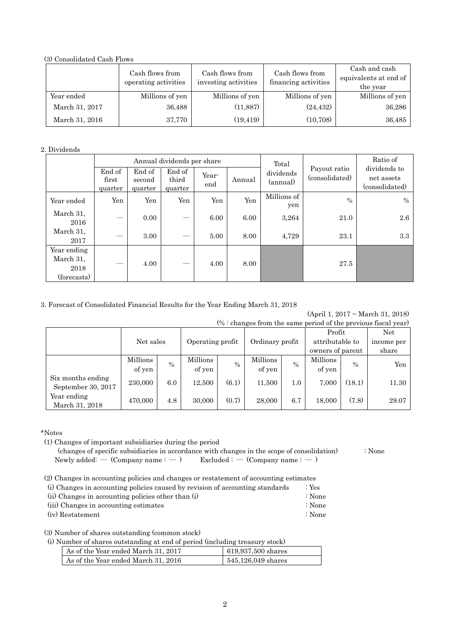(3) Consolidated Cash Flows

|                | Cash flows from<br>operating activities | Cash flows from<br>investing activities | Cash flows from<br>financing activities | Cash and cash<br>equivalents at end of<br>the year |
|----------------|-----------------------------------------|-----------------------------------------|-----------------------------------------|----------------------------------------------------|
| Year ended     | Millions of yen                         | Millions of yen                         | Millions of yen                         | Millions of yen                                    |
| March 31, 2017 | 36,488                                  | (11, 887)                               | (24, 432)                               | 36,286                                             |
| March 31, 2016 | 37,770                                  | (19, 419)                               | (10, 708)                               | 36,485                                             |

## 2. Dividends

|                                                 |                            |                             | Annual dividends per share |              |        | Total                 |                                | Ratio of                                     |
|-------------------------------------------------|----------------------------|-----------------------------|----------------------------|--------------|--------|-----------------------|--------------------------------|----------------------------------------------|
|                                                 | End of<br>first<br>quarter | End of<br>second<br>quarter | End of<br>third<br>quarter | Year-<br>end | Annual | dividends<br>(annual) | Payout ratio<br>(consolidated) | dividends to<br>net assets<br>(consolidated) |
| Year ended                                      | Yen                        | Yen                         | Yen                        | Yen          | Yen    | Millions of<br>yen    | $\frac{0}{0}$                  | $\frac{0}{0}$                                |
| March 31,<br>2016                               |                            | 0.00                        | $\hspace{0.05cm}$          | 6.00         | 6.00   | 3,264                 | 21.0                           | 2.6                                          |
| March 31,<br>2017                               |                            | 3.00                        | $\hspace{0.05cm}$          | 5.00         | 8.00   | 4,729                 | 23.1                           | 3.3                                          |
| Year ending<br>March 31,<br>2018<br>(forecasts) |                            | 4.00                        |                            | 4.00         | 8.00   |                       | 27.5                           |                                              |

## 3. Forecast of Consolidated Financial Results for the Year Ending March 31, 2018

(April 1, 2017 ~ March 31, 2018)  $(\% :$  changes from the same period of the previous fiscal year)

| <u>vinning ou il vill vilv unilly polityn yl vilv provilveny livoni y only</u> |                    |      |                    |       |                    |      |                                     |               |            |
|--------------------------------------------------------------------------------|--------------------|------|--------------------|-------|--------------------|------|-------------------------------------|---------------|------------|
|                                                                                |                    |      |                    |       |                    |      |                                     | Profit        |            |
|                                                                                | Net sales          |      | Operating profit   |       | Ordinary profit    |      | attributable to<br>owners of parent |               | income per |
|                                                                                |                    |      |                    |       |                    |      |                                     |               | share      |
|                                                                                | Millions<br>of yen | $\%$ | Millions<br>of yen | $\%$  | Millions<br>of yen | $\%$ | Millions<br>of yen                  | $\frac{0}{0}$ | Yen        |
| Six months ending<br>September 30, 2017                                        | 230,000            | 6.0  | 12.500             | (6.1) | 11,500             | 1.0  | 7,000                               | (18.1)        | 11.30      |
| Year ending<br>March 31, 2018                                                  | 470,000            | 4.8  | 30,000             | (0.7) | 28,000             | 6.7  | 18,000                              | (7.8)         | 29.07      |

\*Notes

(1) Changes of important subsidiaries during the period

 (changes of specific subsidiaries in accordance with changes in the scope of consolidation) : None Newly added: — (Company name :  $-$  ) Excluded :  $-$  (Company name :  $-$  )

(2) Changes in accounting policies and changes or restatement of accounting estimates

|                         |  |  | (i) Changes in accounting policies caused by revision of accounting standards | : Yes |
|-------------------------|--|--|-------------------------------------------------------------------------------|-------|
| $\left( \cdots \right)$ |  |  |                                                                               |       |

(ii) Changes in accounting policies other than  $(i)$  : None (iii) Changes in accounting estimates : None

(iv) Restatement : None

(3) Number of shares outstanding (common stock)

(i) Number of shares outstanding at end of period (including treasury stock)

| As of the Year ended March 31, 2017 | 619,937,500 shares |
|-------------------------------------|--------------------|
| As of the Year ended March 31, 2016 | 545,126,049 shares |